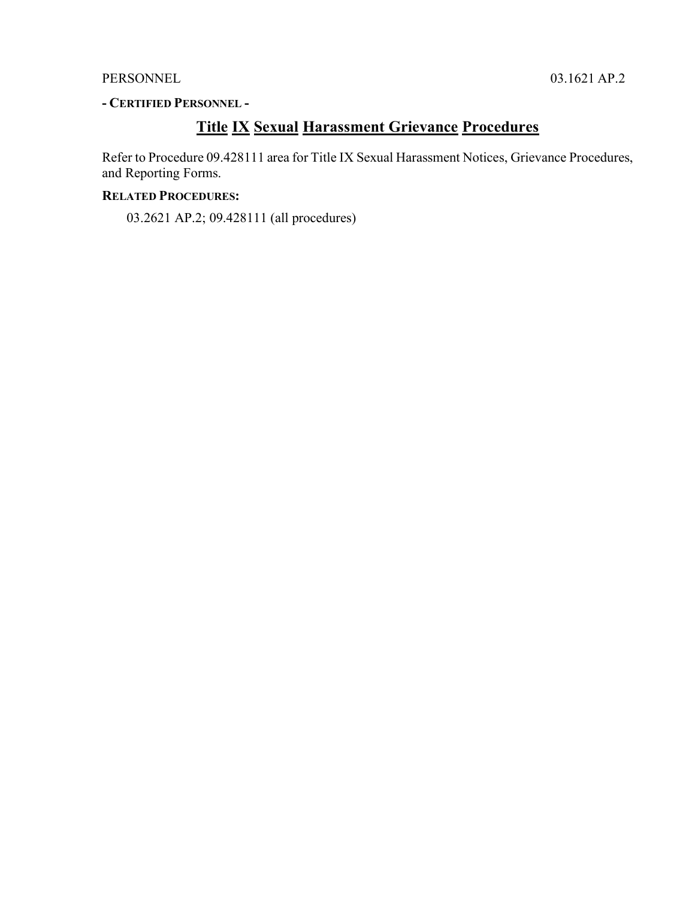### PERSONNEL 03.1621 AP.2

### **- CERTIFIED PERSONNEL -**

## **Title IX Sexual Harassment Grievance Procedures**

Refer to Procedure 09.428111 area for Title IX Sexual Harassment Notices, Grievance Procedures, and Reporting Forms.

### **RELATED PROCEDURES:**

03.2621 AP.2; 09.428111 (all procedures)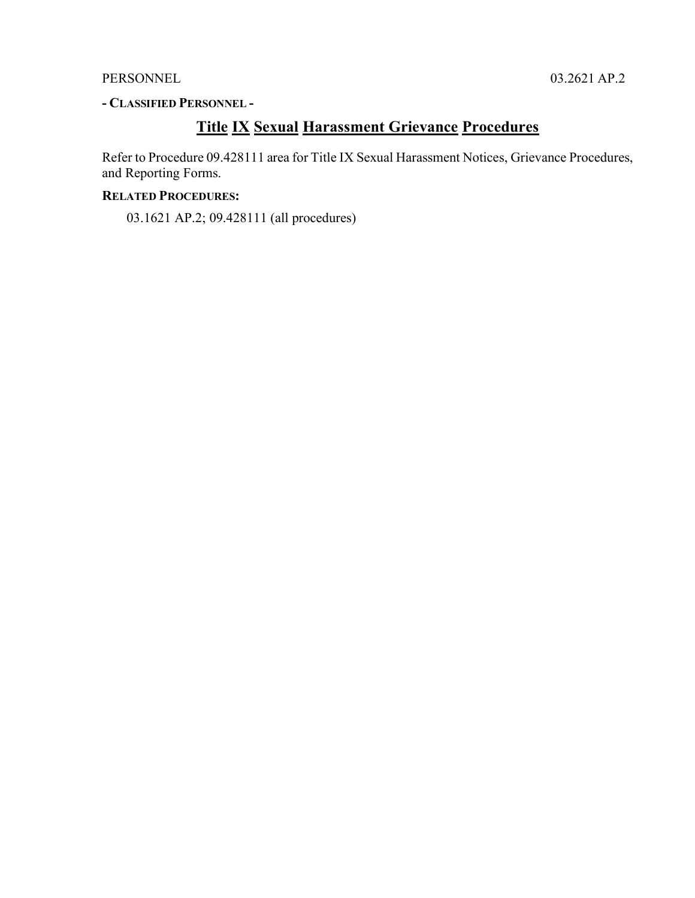### PERSONNEL 03.2621 AP.2

### **- CLASSIFIED PERSONNEL -**

## **Title IX Sexual Harassment Grievance Procedures**

Refer to Procedure 09.428111 area for Title IX Sexual Harassment Notices, Grievance Procedures, and Reporting Forms.

### **RELATED PROCEDURES:**

03.1621 AP.2; 09.428111 (all procedures)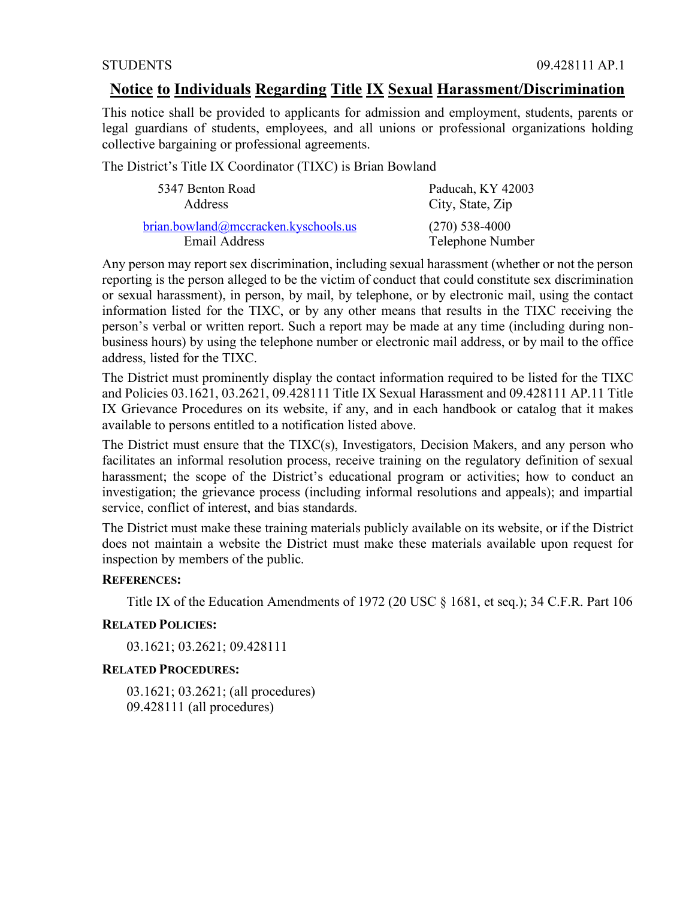### **Notice to Individuals Regarding Title IX Sexual Harassment/Discrimination**

This notice shall be provided to applicants for admission and employment, students, parents or legal guardians of students, employees, and all unions or professional organizations holding collective bargaining or professional agreements.

The District's Title IX Coordinator (TIXC) is Brian Bowland

| 5347 Benton Road                     | Paducah, KY 42003 |
|--------------------------------------|-------------------|
| Address                              | City, State, Zip  |
| brian.bowland@mccracken.kyschools.us | $(270)$ 538-4000  |
| Email Address                        | Telephone Number  |

Any person may report sex discrimination, including sexual harassment (whether or not the person reporting is the person alleged to be the victim of conduct that could constitute sex discrimination or sexual harassment), in person, by mail, by telephone, or by electronic mail, using the contact information listed for the TIXC, or by any other means that results in the TIXC receiving the person's verbal or written report. Such a report may be made at any time (including during nonbusiness hours) by using the telephone number or electronic mail address, or by mail to the office address, listed for the TIXC.

The District must prominently display the contact information required to be listed for the TIXC and Policies 03.1621, 03.2621, 09.428111 Title IX Sexual Harassment and 09.428111 AP.11 Title IX Grievance Procedures on its website, if any, and in each handbook or catalog that it makes available to persons entitled to a notification listed above.

The District must ensure that the TIXC(s), Investigators, Decision Makers, and any person who facilitates an informal resolution process, receive training on the regulatory definition of sexual harassment; the scope of the District's educational program or activities; how to conduct an investigation; the grievance process (including informal resolutions and appeals); and impartial service, conflict of interest, and bias standards.

The District must make these training materials publicly available on its website, or if the District does not maintain a website the District must make these materials available upon request for inspection by members of the public.

#### **REFERENCES:**

Title IX of the Education Amendments of 1972 (20 USC  $\S$  1681, et seq.); 34 C.F.R. Part 106

#### **RELATED POLICIES:**

03.1621; 03.2621; 09.428111

#### **RELATED PROCEDURES:**

03.1621; 03.2621; (all procedures) 09.428111 (all procedures)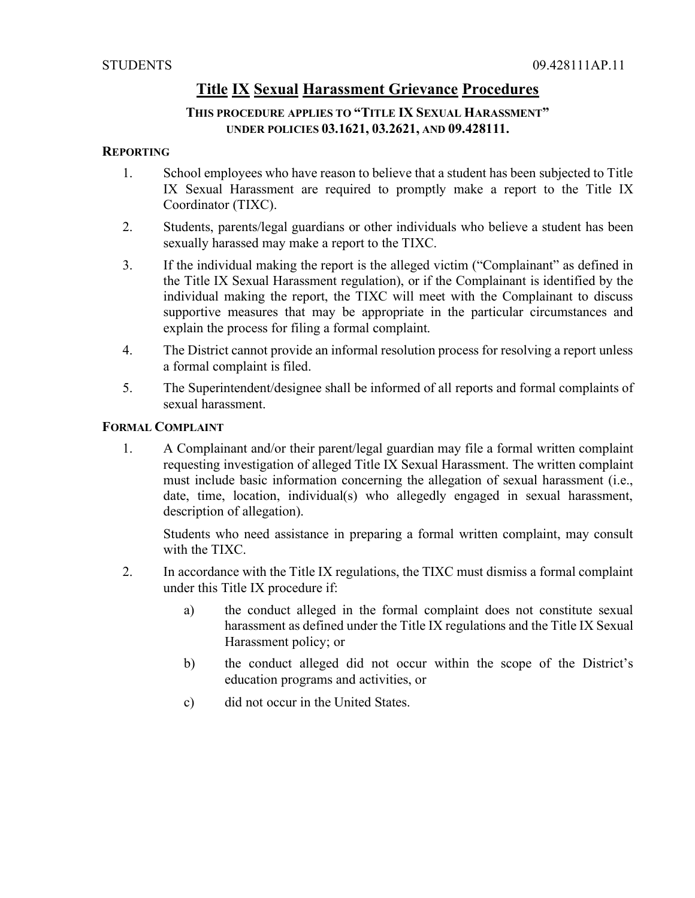### **THIS PROCEDURE APPLIES TO "TITLE IX SEXUAL HARASSMENT" UNDER POLICIES 03.1621, 03.2621, AND 09.428111.**

### **REPORTING**

- 1. School employees who have reason to believe that a student has been subjected to Title IX Sexual Harassment are required to promptly make a report to the Title IX Coordinator (TIXC).
- 2. Students, parents/legal guardians or other individuals who believe a student has been sexually harassed may make a report to the TIXC.
- 3. If the individual making the report is the alleged victim ("Complainant" as defined in the Title IX Sexual Harassment regulation), or if the Complainant is identified by the individual making the report, the TIXC will meet with the Complainant to discuss supportive measures that may be appropriate in the particular circumstances and explain the process for filing a formal complaint.
- 4. The District cannot provide an informal resolution process for resolving a report unless a formal complaint is filed.
- 5. The Superintendent/designee shall be informed of all reports and formal complaints of sexual harassment.

### **FORMAL COMPLAINT**

1. A Complainant and/or their parent/legal guardian may file a formal written complaint requesting investigation of alleged Title IX Sexual Harassment. The written complaint must include basic information concerning the allegation of sexual harassment (i.e., date, time, location, individual(s) who allegedly engaged in sexual harassment, description of allegation).

Students who need assistance in preparing a formal written complaint, may consult with the TIXC.

- 2. In accordance with the Title IX regulations, the TIXC must dismiss a formal complaint under this Title IX procedure if:
	- a) the conduct alleged in the formal complaint does not constitute sexual harassment as defined under the Title IX regulations and the Title IX Sexual Harassment policy; or
	- b) the conduct alleged did not occur within the scope of the District's education programs and activities, or
	- c) did not occur in the United States.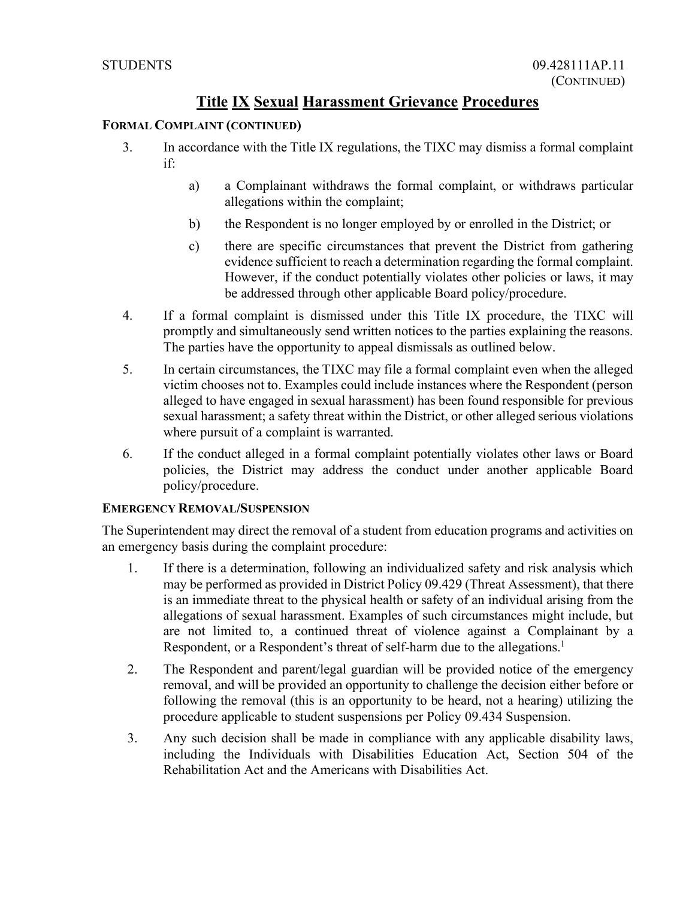### **FORMAL COMPLAINT (CONTINUED)**

- 3. In accordance with the Title IX regulations, the TIXC may dismiss a formal complaint if:
	- a) a Complainant withdraws the formal complaint, or withdraws particular allegations within the complaint;
	- b) the Respondent is no longer employed by or enrolled in the District; or
	- c) there are specific circumstances that prevent the District from gathering evidence sufficient to reach a determination regarding the formal complaint. However, if the conduct potentially violates other policies or laws, it may be addressed through other applicable Board policy/procedure.
- 4. If a formal complaint is dismissed under this Title IX procedure, the TIXC will promptly and simultaneously send written notices to the parties explaining the reasons. The parties have the opportunity to appeal dismissals as outlined below.
- 5. In certain circumstances, the TIXC may file a formal complaint even when the alleged victim chooses not to. Examples could include instances where the Respondent (person alleged to have engaged in sexual harassment) has been found responsible for previous sexual harassment; a safety threat within the District, or other alleged serious violations where pursuit of a complaint is warranted.
- 6. If the conduct alleged in a formal complaint potentially violates other laws or Board policies, the District may address the conduct under another applicable Board policy/procedure.

### **EMERGENCY REMOVAL/SUSPENSION**

The Superintendent may direct the removal of a student from education programs and activities on an emergency basis during the complaint procedure:

- 1. If there is a determination, following an individualized safety and risk analysis which may be performed as provided in District Policy 09.429 (Threat Assessment), that there is an immediate threat to the physical health or safety of an individual arising from the allegations of sexual harassment. Examples of such circumstances might include, but are not limited to, a continued threat of violence against a Complainant by a Respondent, or a Respondent's threat of self-harm due to the allegations.<sup>1</sup>
- 2. The Respondent and parent/legal guardian will be provided notice of the emergency removal, and will be provided an opportunity to challenge the decision either before or following the removal (this is an opportunity to be heard, not a hearing) utilizing the procedure applicable to student suspensions per Policy 09.434 Suspension.
- 3. Any such decision shall be made in compliance with any applicable disability laws, including the Individuals with Disabilities Education Act, Section 504 of the Rehabilitation Act and the Americans with Disabilities Act.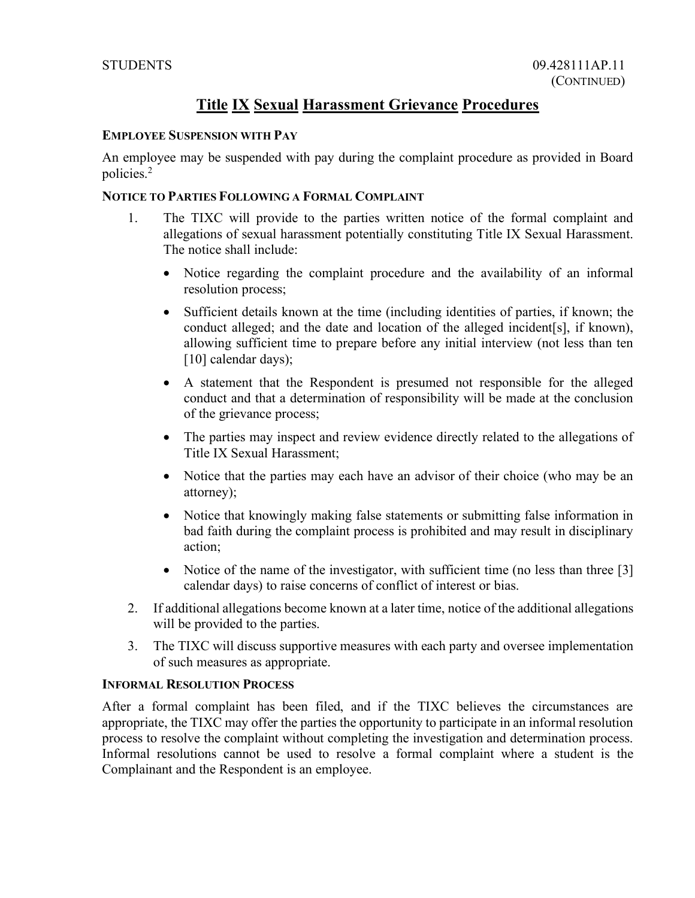### **EMPLOYEE SUSPENSION WITH PAY**

An employee may be suspended with pay during the complaint procedure as provided in Board policies.2

### **NOTICE TO PARTIES FOLLOWING A FORMAL COMPLAINT**

- 1. The TIXC will provide to the parties written notice of the formal complaint and allegations of sexual harassment potentially constituting Title IX Sexual Harassment. The notice shall include:
	- Notice regarding the complaint procedure and the availability of an informal resolution process;
	- Sufficient details known at the time (including identities of parties, if known; the conduct alleged; and the date and location of the alleged incident[s], if known), allowing sufficient time to prepare before any initial interview (not less than ten [10] calendar days);
	- A statement that the Respondent is presumed not responsible for the alleged conduct and that a determination of responsibility will be made at the conclusion of the grievance process;
	- The parties may inspect and review evidence directly related to the allegations of Title IX Sexual Harassment;
	- Notice that the parties may each have an advisor of their choice (who may be an attorney);
	- Notice that knowingly making false statements or submitting false information in bad faith during the complaint process is prohibited and may result in disciplinary action;
	- Notice of the name of the investigator, with sufficient time (no less than three [3] calendar days) to raise concerns of conflict of interest or bias.
- 2. If additional allegations become known at a later time, notice of the additional allegations will be provided to the parties.
- 3. The TIXC will discuss supportive measures with each party and oversee implementation of such measures as appropriate.

#### **INFORMAL RESOLUTION PROCESS**

After a formal complaint has been filed, and if the TIXC believes the circumstances are appropriate, the TIXC may offer the parties the opportunity to participate in an informal resolution process to resolve the complaint without completing the investigation and determination process. Informal resolutions cannot be used to resolve a formal complaint where a student is the Complainant and the Respondent is an employee.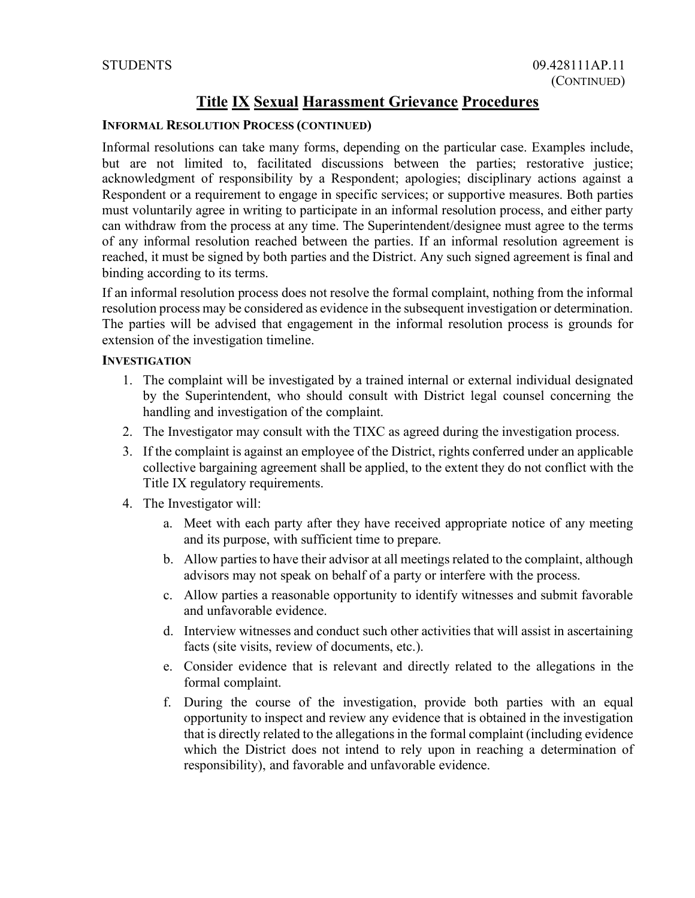### **INFORMAL RESOLUTION PROCESS (CONTINUED)**

Informal resolutions can take many forms, depending on the particular case. Examples include, but are not limited to, facilitated discussions between the parties; restorative justice; acknowledgment of responsibility by a Respondent; apologies; disciplinary actions against a Respondent or a requirement to engage in specific services; or supportive measures. Both parties must voluntarily agree in writing to participate in an informal resolution process, and either party can withdraw from the process at any time. The Superintendent/designee must agree to the terms of any informal resolution reached between the parties. If an informal resolution agreement is reached, it must be signed by both parties and the District. Any such signed agreement is final and binding according to its terms.

If an informal resolution process does not resolve the formal complaint, nothing from the informal resolution process may be considered as evidence in the subsequent investigation or determination. The parties will be advised that engagement in the informal resolution process is grounds for extension of the investigation timeline.

#### **INVESTIGATION**

- 1. The complaint will be investigated by a trained internal or external individual designated by the Superintendent, who should consult with District legal counsel concerning the handling and investigation of the complaint.
- 2. The Investigator may consult with the TIXC as agreed during the investigation process.
- 3. If the complaint is against an employee of the District, rights conferred under an applicable collective bargaining agreement shall be applied, to the extent they do not conflict with the Title IX regulatory requirements.
- 4. The Investigator will:
	- a. Meet with each party after they have received appropriate notice of any meeting and its purpose, with sufficient time to prepare.
	- b. Allow parties to have their advisor at all meetings related to the complaint, although advisors may not speak on behalf of a party or interfere with the process.
	- c. Allow parties a reasonable opportunity to identify witnesses and submit favorable and unfavorable evidence.
	- d. Interview witnesses and conduct such other activities that will assist in ascertaining facts (site visits, review of documents, etc.).
	- e. Consider evidence that is relevant and directly related to the allegations in the formal complaint.
	- f. During the course of the investigation, provide both parties with an equal opportunity to inspect and review any evidence that is obtained in the investigation that is directly related to the allegations in the formal complaint (including evidence which the District does not intend to rely upon in reaching a determination of responsibility), and favorable and unfavorable evidence.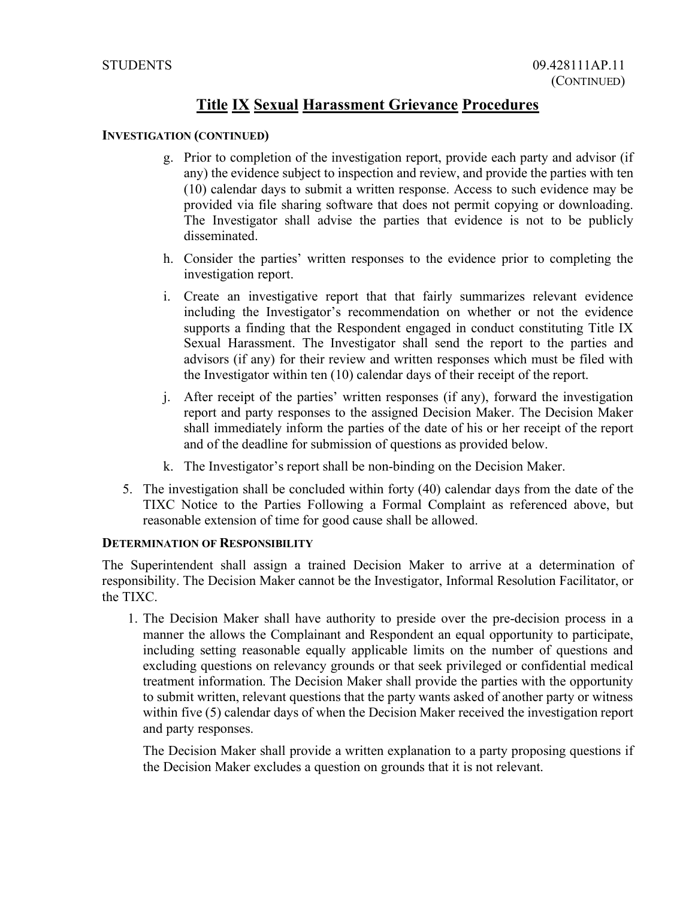#### **INVESTIGATION (CONTINUED)**

- g. Prior to completion of the investigation report, provide each party and advisor (if any) the evidence subject to inspection and review, and provide the parties with ten (10) calendar days to submit a written response. Access to such evidence may be provided via file sharing software that does not permit copying or downloading. The Investigator shall advise the parties that evidence is not to be publicly disseminated.
- h. Consider the parties' written responses to the evidence prior to completing the investigation report.
- i. Create an investigative report that that fairly summarizes relevant evidence including the Investigator's recommendation on whether or not the evidence supports a finding that the Respondent engaged in conduct constituting Title IX Sexual Harassment. The Investigator shall send the report to the parties and advisors (if any) for their review and written responses which must be filed with the Investigator within ten (10) calendar days of their receipt of the report.
- j. After receipt of the parties' written responses (if any), forward the investigation report and party responses to the assigned Decision Maker. The Decision Maker shall immediately inform the parties of the date of his or her receipt of the report and of the deadline for submission of questions as provided below.
- k. The Investigator's report shall be non-binding on the Decision Maker.
- 5. The investigation shall be concluded within forty (40) calendar days from the date of the TIXC Notice to the Parties Following a Formal Complaint as referenced above, but reasonable extension of time for good cause shall be allowed.

### **DETERMINATION OF RESPONSIBILITY**

The Superintendent shall assign a trained Decision Maker to arrive at a determination of responsibility. The Decision Maker cannot be the Investigator, Informal Resolution Facilitator, or the TIXC.

1. The Decision Maker shall have authority to preside over the pre-decision process in a manner the allows the Complainant and Respondent an equal opportunity to participate, including setting reasonable equally applicable limits on the number of questions and excluding questions on relevancy grounds or that seek privileged or confidential medical treatment information. The Decision Maker shall provide the parties with the opportunity to submit written, relevant questions that the party wants asked of another party or witness within five (5) calendar days of when the Decision Maker received the investigation report and party responses.

The Decision Maker shall provide a written explanation to a party proposing questions if the Decision Maker excludes a question on grounds that it is not relevant.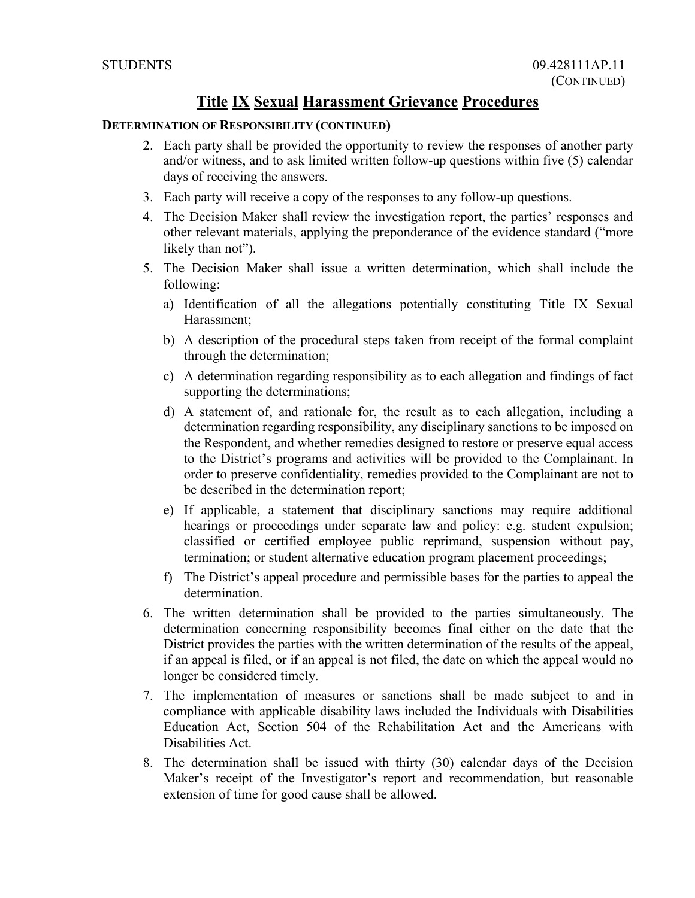#### **DETERMINATION OF RESPONSIBILITY (CONTINUED)**

- 2. Each party shall be provided the opportunity to review the responses of another party and/or witness, and to ask limited written follow-up questions within five (5) calendar days of receiving the answers.
- 3. Each party will receive a copy of the responses to any follow-up questions.
- 4. The Decision Maker shall review the investigation report, the parties' responses and other relevant materials, applying the preponderance of the evidence standard ("more likely than not").
- 5. The Decision Maker shall issue a written determination, which shall include the following:
	- a) Identification of all the allegations potentially constituting Title IX Sexual Harassment;
	- b) A description of the procedural steps taken from receipt of the formal complaint through the determination;
	- c) A determination regarding responsibility as to each allegation and findings of fact supporting the determinations;
	- d) A statement of, and rationale for, the result as to each allegation, including a determination regarding responsibility, any disciplinary sanctions to be imposed on the Respondent, and whether remedies designed to restore or preserve equal access to the District's programs and activities will be provided to the Complainant. In order to preserve confidentiality, remedies provided to the Complainant are not to be described in the determination report;
	- e) If applicable, a statement that disciplinary sanctions may require additional hearings or proceedings under separate law and policy: e.g. student expulsion; classified or certified employee public reprimand, suspension without pay, termination; or student alternative education program placement proceedings;
	- f) The District's appeal procedure and permissible bases for the parties to appeal the determination.
- 6. The written determination shall be provided to the parties simultaneously. The determination concerning responsibility becomes final either on the date that the District provides the parties with the written determination of the results of the appeal, if an appeal is filed, or if an appeal is not filed, the date on which the appeal would no longer be considered timely.
- 7. The implementation of measures or sanctions shall be made subject to and in compliance with applicable disability laws included the Individuals with Disabilities Education Act, Section 504 of the Rehabilitation Act and the Americans with Disabilities Act.
- 8. The determination shall be issued with thirty (30) calendar days of the Decision Maker's receipt of the Investigator's report and recommendation, but reasonable extension of time for good cause shall be allowed.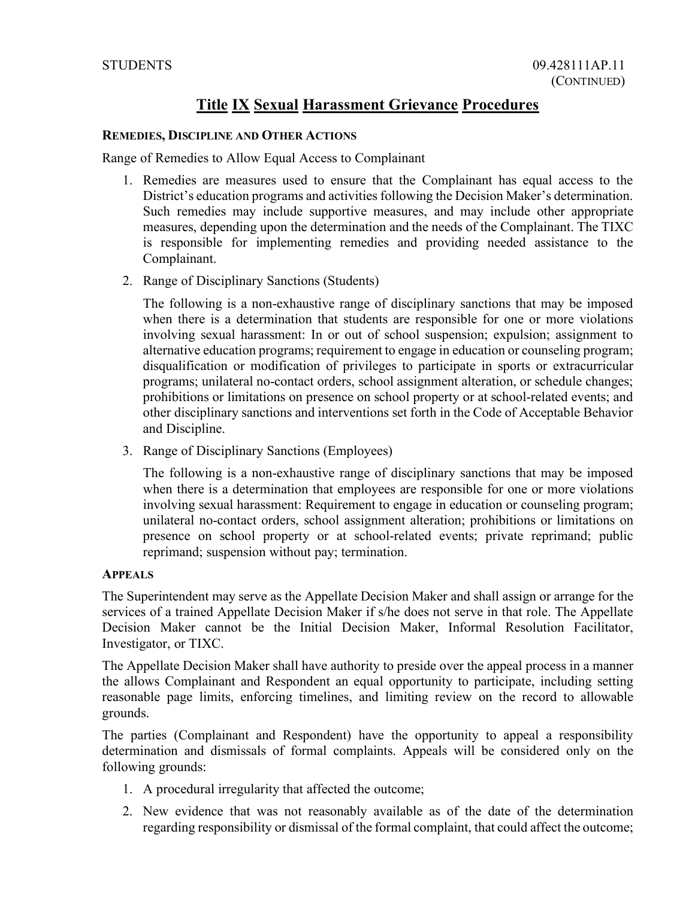#### **REMEDIES, DISCIPLINE AND OTHER ACTIONS**

Range of Remedies to Allow Equal Access to Complainant

- 1. Remedies are measures used to ensure that the Complainant has equal access to the District's education programs and activities following the Decision Maker's determination. Such remedies may include supportive measures, and may include other appropriate measures, depending upon the determination and the needs of the Complainant. The TIXC is responsible for implementing remedies and providing needed assistance to the Complainant.
- 2. Range of Disciplinary Sanctions (Students)

The following is a non-exhaustive range of disciplinary sanctions that may be imposed when there is a determination that students are responsible for one or more violations involving sexual harassment: In or out of school suspension; expulsion; assignment to alternative education programs; requirement to engage in education or counseling program; disqualification or modification of privileges to participate in sports or extracurricular programs; unilateral no-contact orders, school assignment alteration, or schedule changes; prohibitions or limitations on presence on school property or at school-related events; and other disciplinary sanctions and interventions set forth in the Code of Acceptable Behavior and Discipline.

3. Range of Disciplinary Sanctions (Employees)

The following is a non-exhaustive range of disciplinary sanctions that may be imposed when there is a determination that employees are responsible for one or more violations involving sexual harassment: Requirement to engage in education or counseling program; unilateral no-contact orders, school assignment alteration; prohibitions or limitations on presence on school property or at school-related events; private reprimand; public reprimand; suspension without pay; termination.

#### **APPEALS**

The Superintendent may serve as the Appellate Decision Maker and shall assign or arrange for the services of a trained Appellate Decision Maker if s/he does not serve in that role. The Appellate Decision Maker cannot be the Initial Decision Maker, Informal Resolution Facilitator, Investigator, or TIXC.

The Appellate Decision Maker shall have authority to preside over the appeal process in a manner the allows Complainant and Respondent an equal opportunity to participate, including setting reasonable page limits, enforcing timelines, and limiting review on the record to allowable grounds.

The parties (Complainant and Respondent) have the opportunity to appeal a responsibility determination and dismissals of formal complaints. Appeals will be considered only on the following grounds:

- 1. A procedural irregularity that affected the outcome;
- 2. New evidence that was not reasonably available as of the date of the determination regarding responsibility or dismissal of the formal complaint, that could affect the outcome;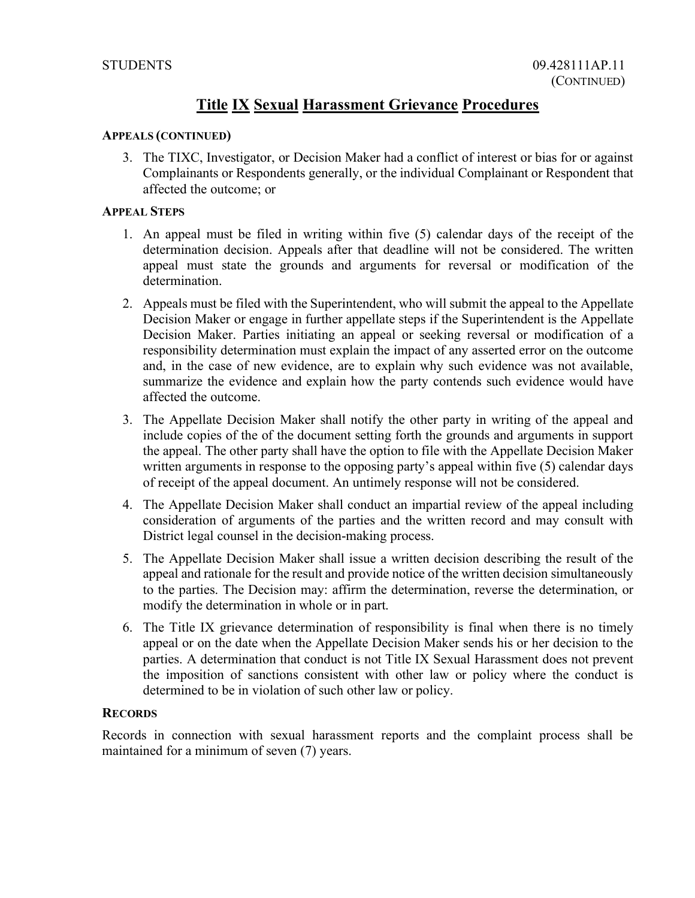#### **APPEALS (CONTINUED)**

3. The TIXC, Investigator, or Decision Maker had a conflict of interest or bias for or against Complainants or Respondents generally, or the individual Complainant or Respondent that affected the outcome; or

### **APPEAL STEPS**

- 1. An appeal must be filed in writing within five (5) calendar days of the receipt of the determination decision. Appeals after that deadline will not be considered. The written appeal must state the grounds and arguments for reversal or modification of the determination.
- 2. Appeals must be filed with the Superintendent, who will submit the appeal to the Appellate Decision Maker or engage in further appellate steps if the Superintendent is the Appellate Decision Maker. Parties initiating an appeal or seeking reversal or modification of a responsibility determination must explain the impact of any asserted error on the outcome and, in the case of new evidence, are to explain why such evidence was not available, summarize the evidence and explain how the party contends such evidence would have affected the outcome.
- 3. The Appellate Decision Maker shall notify the other party in writing of the appeal and include copies of the of the document setting forth the grounds and arguments in support the appeal. The other party shall have the option to file with the Appellate Decision Maker written arguments in response to the opposing party's appeal within five (5) calendar days of receipt of the appeal document. An untimely response will not be considered.
- 4. The Appellate Decision Maker shall conduct an impartial review of the appeal including consideration of arguments of the parties and the written record and may consult with District legal counsel in the decision-making process.
- 5. The Appellate Decision Maker shall issue a written decision describing the result of the appeal and rationale for the result and provide notice of the written decision simultaneously to the parties. The Decision may: affirm the determination, reverse the determination, or modify the determination in whole or in part.
- 6. The Title IX grievance determination of responsibility is final when there is no timely appeal or on the date when the Appellate Decision Maker sends his or her decision to the parties. A determination that conduct is not Title IX Sexual Harassment does not prevent the imposition of sanctions consistent with other law or policy where the conduct is determined to be in violation of such other law or policy.

#### **RECORDS**

Records in connection with sexual harassment reports and the complaint process shall be maintained for a minimum of seven (7) years.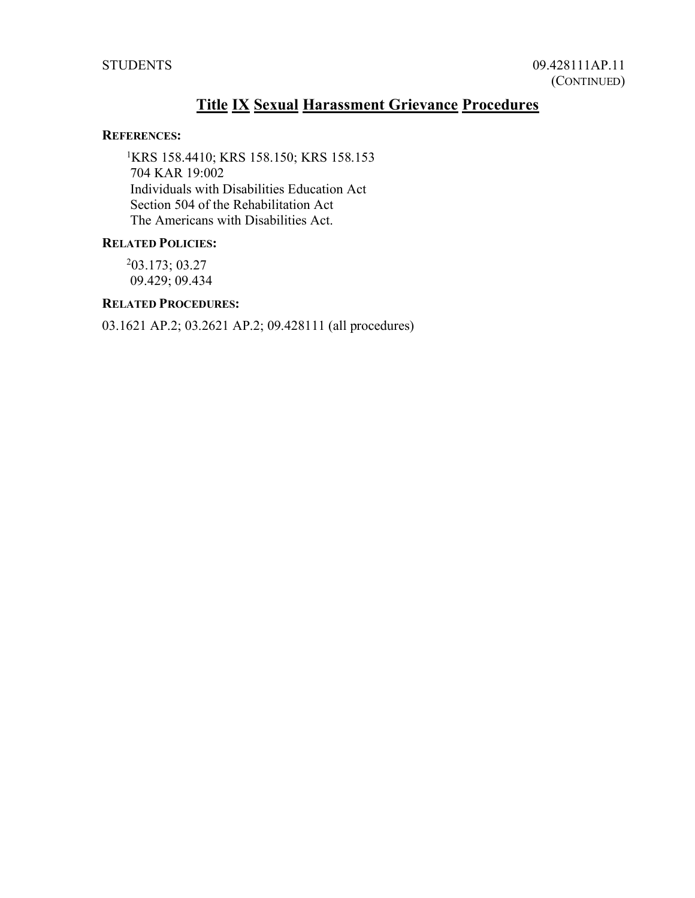#### **REFERENCES:**

1 KRS 158.4410; KRS 158.150; KRS 158.153 704 KAR 19:002 Individuals with Disabilities Education Act Section 504 of the Rehabilitation Act The Americans with Disabilities Act.

### **RELATED POLICIES:**

2 03.173; 03.27 09.429; 09.434

### **RELATED PROCEDURES:**

03.1621 AP.2; 03.2621 AP.2; 09.428111 (all procedures)